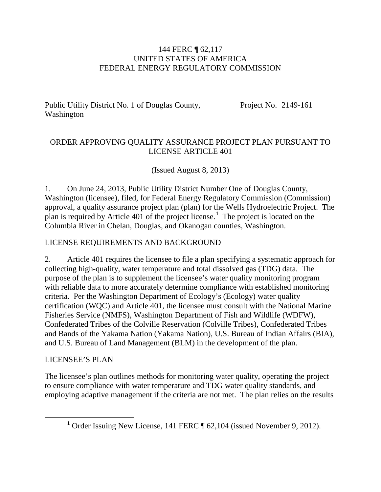#### 144 FERC ¶ 62,117 UNITED STATES OF AMERICA FEDERAL ENERGY REGULATORY COMMISSION

Public Utility District No. 1 of Douglas County, Washington

Project No. 2149-161

### ORDER APPROVING QUALITY ASSURANCE PROJECT PLAN PURSUANT TO LICENSE ARTICLE 401

(Issued August 8, 2013)

1. On June 24, 2013, Public Utility District Number One of Douglas County, Washington (licensee), filed, for Federal Energy Regulatory Commission (Commission) approval, a quality assurance project plan (plan) for the Wells Hydroelectric Project. The plan is required by Article 401 of the project license.**[1](#page-0-0)** The project is located on the Columbia River in Chelan, Douglas, and Okanogan counties, Washington.

### LICENSE REQUIREMENTS AND BACKGROUND

2. Article 401 requires the licensee to file a plan specifying a systematic approach for collecting high-quality, water temperature and total dissolved gas (TDG) data. The purpose of the plan is to supplement the licensee's water quality monitoring program with reliable data to more accurately determine compliance with established monitoring criteria. Per the Washington Department of Ecology's (Ecology) water quality certification (WQC) and Article 401, the licensee must consult with the National Marine Fisheries Service (NMFS), Washington Department of Fish and Wildlife (WDFW), Confederated Tribes of the Colville Reservation (Colville Tribes), Confederated Tribes and Bands of the Yakama Nation (Yakama Nation), U.S. Bureau of Indian Affairs (BIA), and U.S. Bureau of Land Management (BLM) in the development of the plan.

#### LICENSEE'S PLAN

<span id="page-0-0"></span>The licensee's plan outlines methods for monitoring water quality, operating the project to ensure compliance with water temperature and TDG water quality standards, and employing adaptive management if the criteria are not met. The plan relies on the results

**<sup>1</sup>** Order Issuing New License, 141 FERC ¶ 62,104 (issued November 9, 2012).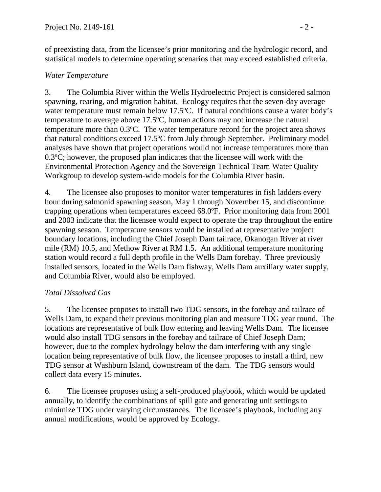of preexisting data, from the licensee's prior monitoring and the hydrologic record, and statistical models to determine operating scenarios that may exceed established criteria.

# *Water Temperature*

3. The Columbia River within the Wells Hydroelectric Project is considered salmon spawning, rearing, and migration habitat. Ecology requires that the seven-day average water temperature must remain below 17.5°C. If natural conditions cause a water body's temperature to average above 17.5ºC, human actions may not increase the natural temperature more than 0.3ºC. The water temperature record for the project area shows that natural conditions exceed 17.5ºC from July through September. Preliminary model analyses have shown that project operations would not increase temperatures more than 0.3ºC; however, the proposed plan indicates that the licensee will work with the Environmental Protection Agency and the Sovereign Technical Team Water Quality Workgroup to develop system-wide models for the Columbia River basin.

4. The licensee also proposes to monitor water temperatures in fish ladders every hour during salmonid spawning season, May 1 through November 15, and discontinue trapping operations when temperatures exceed 68.0ºF. Prior monitoring data from 2001 and 2003 indicate that the licensee would expect to operate the trap throughout the entire spawning season. Temperature sensors would be installed at representative project boundary locations, including the Chief Joseph Dam tailrace, Okanogan River at river mile (RM) 10.5, and Methow River at RM 1.5. An additional temperature monitoring station would record a full depth profile in the Wells Dam forebay. Three previously installed sensors, located in the Wells Dam fishway, Wells Dam auxiliary water supply, and Columbia River, would also be employed.

# *Total Dissolved Gas*

5. The licensee proposes to install two TDG sensors, in the forebay and tailrace of Wells Dam, to expand their previous monitoring plan and measure TDG year round. The locations are representative of bulk flow entering and leaving Wells Dam. The licensee would also install TDG sensors in the forebay and tailrace of Chief Joseph Dam; however, due to the complex hydrology below the dam interfering with any single location being representative of bulk flow, the licensee proposes to install a third, new TDG sensor at Washburn Island, downstream of the dam. The TDG sensors would collect data every 15 minutes.

6. The licensee proposes using a self-produced playbook, which would be updated annually, to identify the combinations of spill gate and generating unit settings to minimize TDG under varying circumstances. The licensee's playbook, including any annual modifications, would be approved by Ecology.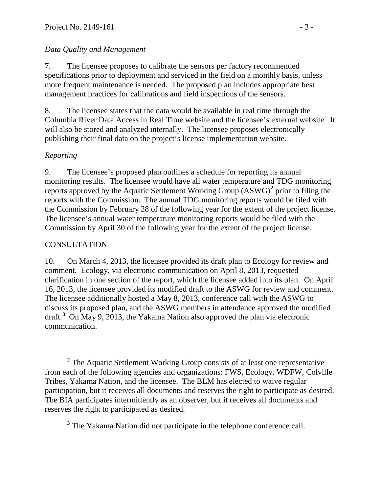# *Data Quality and Management*

7. The licensee proposes to calibrate the sensors per factory recommended specifications prior to deployment and serviced in the field on a monthly basis, unless more frequent maintenance is needed. The proposed plan includes appropriate best management practices for calibrations and field inspections of the sensors.

8. The licensee states that the data would be available in real time through the Columbia River Data Access in Real Time website and the licensee's external website. It will also be stored and analyzed internally. The licensee proposes electronically publishing their final data on the project's license implementation website.

# *Reporting*

9. The licensee's proposed plan outlines a schedule for reporting its annual monitoring results. The licensee would have all water temperature and TDG monitoring reports approved by the Aquatic Settlement Working Group (ASWG)**[2](#page-2-0)** prior to filing the reports with the Commission. The annual TDG monitoring reports would be filed with the Commission by February 28 of the following year for the extent of the project license. The licensee's annual water temperature monitoring reports would be filed with the Commission by April 30 of the following year for the extent of the project license.

### **CONSULTATION**

10. On March 4, 2013, the licensee provided its draft plan to Ecology for review and comment. Ecology, via electronic communication on April 8, 2013, requested clarification in one section of the report, which the licensee added into its plan. On April 16, 2013, the licensee provided its modified draft to the ASWG for review and comment. The licensee additionally hosted a May 8, 2013, conference call with the ASWG to discuss its proposed plan, and the ASWG members in attendance approved the modified draft. **[3](#page-2-1)** On May 9, 2013, the Yakama Nation also approved the plan via electronic communication.

<span id="page-2-1"></span>**<sup>3</sup>** The Yakama Nation did not participate in the telephone conference call.

<span id="page-2-0"></span>**<sup>2</sup>** The Aquatic Settlement Working Group consists of at least one representative from each of the following agencies and organizations: FWS, Ecology, WDFW, Colville Tribes, Yakama Nation, and the licensee. The BLM has elected to waive regular participation, but it receives all documents and reserves the right to participate as desired. The BIA participates intermittently as an observer, but it receives all documents and reserves the right to participated as desired.